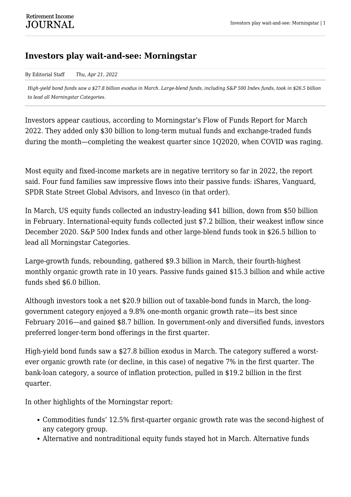## **Investors play wait-and-see: Morningstar**

By Editorial Staff *Thu, Apr 21, 2022*

*High-yield bond funds saw a \$27.8 billion exodus in March. Large-blend funds, including S&P 500 Index funds, took in \$26.5 billion to lead all Morningstar Categories.*

Investors appear cautious, according to Morningstar's Flow of Funds Report for March 2022. They added only \$30 billion to long-term mutual funds and exchange-traded funds during the month—completing the weakest quarter since 1Q2020, when COVID was raging.

Most equity and fixed-income markets are in negative territory so far in 2022, the report said. Four fund families saw impressive flows into their passive funds: iShares, Vanguard, SPDR State Street Global Advisors, and Invesco (in that order).

In March, US equity funds collected an industry-leading \$41 billion, down from \$50 billion in February. International-equity funds collected just \$7.2 billion, their weakest inflow since December 2020. S&P 500 Index funds and other large-blend funds took in \$26.5 billion to lead all Morningstar Categories.

Large-growth funds, rebounding, gathered \$9.3 billion in March, their fourth-highest monthly organic growth rate in 10 years. Passive funds gained \$15.3 billion and while active funds shed \$6.0 billion.

Although investors took a net \$20.9 billion out of taxable-bond funds in March, the longgovernment category enjoyed a 9.8% one-month organic growth rate—its best since February 2016—and gained \$8.7 billion. In government-only and diversified funds, investors preferred longer-term bond offerings in the first quarter.

High-yield bond funds saw a \$27.8 billion exodus in March. The category suffered a worstever organic growth rate (or decline, in this case) of negative 7% in the first quarter. The bank-loan category, a source of inflation protection, pulled in \$19.2 billion in the first quarter.

In other highlights of the Morningstar report:

- Commodities funds' 12.5% first-quarter organic growth rate was the second-highest of any category group.
- Alternative and nontraditional equity funds stayed hot in March. Alternative funds